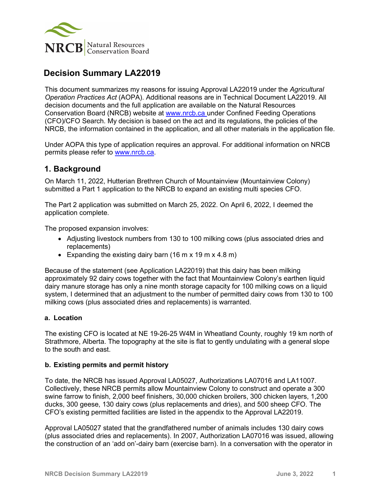

# **Decision Summary LA22019**

This document summarizes my reasons for issuing Approval LA22019 under the *Agricultural Operation Practices Act* (AOPA). Additional reasons are in Technical Document LA22019. All decision documents and the full application are available on the Natural Resources Conservation Board (NRCB) website at [www.nrcb.ca](http://www.nrcb.ca/) under Confined Feeding Operations (CFO)/CFO Search. My decision is based on the act and its regulations, the policies of the NRCB, the information contained in the application, and all other materials in the application file.

Under AOPA this type of application requires an approval. For additional information on NRCB permits please refer to [www.nrcb.ca.](file://NRCB-File01/nosync/Application%20Form%20Review/Decision%20Summary%20Template%2027%20April%202020/www.nrcb.ca)

### **1. Background**

On March 11, 2022, Hutterian Brethren Church of Mountainview (Mountainview Colony) submitted a Part 1 application to the NRCB to expand an existing multi species CFO.

The Part 2 application was submitted on March 25, 2022. On April 6, 2022, I deemed the application complete.

The proposed expansion involves:

- Adjusting livestock numbers from 130 to 100 milking cows (plus associated dries and replacements)
- Expanding the existing dairy barn (16 m x 19 m x 4.8 m)

Because of the statement (see Application LA22019) that this dairy has been milking approximately 92 dairy cows together with the fact that Mountainview Colony's earthen liquid dairy manure storage has only a nine month storage capacity for 100 milking cows on a liquid system, I determined that an adjustment to the number of permitted dairy cows from 130 to 100 milking cows (plus associated dries and replacements) is warranted.

#### **a. Location**

The existing CFO is located at NE 19-26-25 W4M in Wheatland County, roughly 19 km north of Strathmore, Alberta. The topography at the site is flat to gently undulating with a general slope to the south and east.

#### **b. Existing permits and permit history**

To date, the NRCB has issued Approval LA05027, Authorizations LA07016 and LA11007. Collectively, these NRCB permits allow Mountainview Colony to construct and operate a 300 swine farrow to finish, 2,000 beef finishers, 30,000 chicken broilers, 300 chicken layers, 1,200 ducks, 300 geese, 130 dairy cows (plus replacements and dries), and 500 sheep CFO. The CFO's existing permitted facilities are listed in the appendix to the Approval LA22019.

Approval LA05027 stated that the grandfathered number of animals includes 130 dairy cows (plus associated dries and replacements). In 2007, Authorization LA07016 was issued, allowing the construction of an 'add on'-dairy barn (exercise barn). In a conversation with the operator in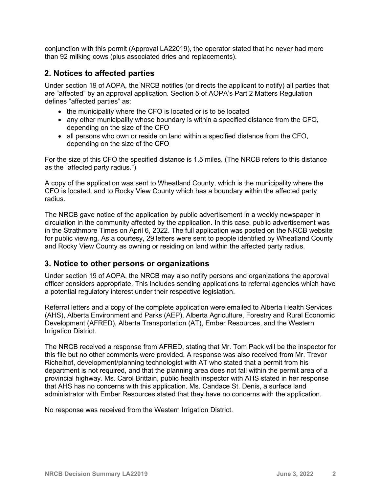conjunction with this permit (Approval LA22019), the operator stated that he never had more than 92 milking cows (plus associated dries and replacements).

### **2. Notices to affected parties**

Under section 19 of AOPA, the NRCB notifies (or directs the applicant to notify) all parties that are "affected" by an approval application. Section 5 of AOPA's Part 2 Matters Regulation defines "affected parties" as:

- the municipality where the CFO is located or is to be located
- any other municipality whose boundary is within a specified distance from the CFO, depending on the size of the CFO
- all persons who own or reside on land within a specified distance from the CFO, depending on the size of the CFO

For the size of this CFO the specified distance is 1.5 miles. (The NRCB refers to this distance as the "affected party radius.")

A copy of the application was sent to Wheatland County, which is the municipality where the CFO is located, and to Rocky View County which has a boundary within the affected party radius.

The NRCB gave notice of the application by public advertisement in a weekly newspaper in circulation in the community affected by the application. In this case, public advertisement was in the Strathmore Times on April 6, 2022. The full application was posted on the NRCB website for public viewing. As a courtesy, 29 letters were sent to people identified by Wheatland County and Rocky View County as owning or residing on land within the affected party radius.

### **3. Notice to other persons or organizations**

Under section 19 of AOPA, the NRCB may also notify persons and organizations the approval officer considers appropriate. This includes sending applications to referral agencies which have a potential regulatory interest under their respective legislation.

Referral letters and a copy of the complete application were emailed to Alberta Health Services (AHS), Alberta Environment and Parks (AEP), Alberta Agriculture, Forestry and Rural Economic Development (AFRED), Alberta Transportation (AT), Ember Resources, and the Western Irrigation District.

The NRCB received a response from AFRED, stating that Mr. Tom Pack will be the inspector for this file but no other comments were provided. A response was also received from Mr. Trevor Richelhof, development/planning technologist with AT who stated that a permit from his department is not required, and that the planning area does not fall within the permit area of a provincial highway. Ms. Carol Brittain, public health inspector with AHS stated in her response that AHS has no concerns with this application. Ms. Candace St. Denis, a surface land administrator with Ember Resources stated that they have no concerns with the application.

No response was received from the Western Irrigation District.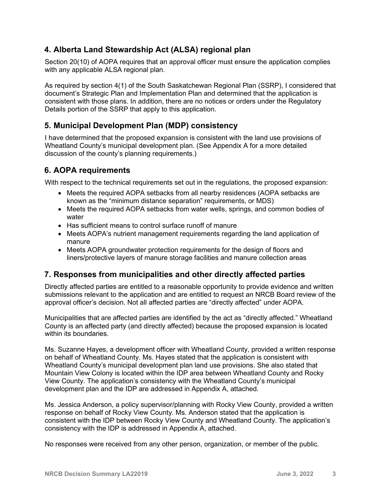## **4. Alberta Land Stewardship Act (ALSA) regional plan**

Section 20(10) of AOPA requires that an approval officer must ensure the application complies with any applicable ALSA regional plan.

As required by section 4(1) of the South Saskatchewan Regional Plan (SSRP), I considered that document's Strategic Plan and Implementation Plan and determined that the application is consistent with those plans. In addition, there are no notices or orders under the Regulatory Details portion of the SSRP that apply to this application.

## **5. Municipal Development Plan (MDP) consistency**

I have determined that the proposed expansion is consistent with the land use provisions of Wheatland County's municipal development plan. (See Appendix A for a more detailed discussion of the county's planning requirements.)

### **6. AOPA requirements**

With respect to the technical requirements set out in the regulations, the proposed expansion:

- Meets the required AOPA setbacks from all nearby residences (AOPA setbacks are known as the "minimum distance separation" requirements, or MDS)
- Meets the required AOPA setbacks from water wells, springs, and common bodies of water
- Has sufficient means to control surface runoff of manure
- Meets AOPA's nutrient management requirements regarding the land application of manure
- Meets AOPA groundwater protection requirements for the design of floors and liners/protective layers of manure storage facilities and manure collection areas

## **7. Responses from municipalities and other directly affected parties**

Directly affected parties are entitled to a reasonable opportunity to provide evidence and written submissions relevant to the application and are entitled to request an NRCB Board review of the approval officer's decision. Not all affected parties are "directly affected" under AOPA.

Municipalities that are affected parties are identified by the act as "directly affected." Wheatland County is an affected party (and directly affected) because the proposed expansion is located within its boundaries.

Ms. Suzanne Hayes, a development officer with Wheatland County, provided a written response on behalf of Wheatland County. Ms. Hayes stated that the application is consistent with Wheatland County's municipal development plan land use provisions. She also stated that Mountain View Colony is located within the IDP area between Wheatland County and Rocky View County. The application's consistency with the Wheatland County's municipal development plan and the IDP are addressed in Appendix A, attached.

Ms. Jessica Anderson, a policy supervisor/planning with Rocky View County, provided a written response on behalf of Rocky View County. Ms. Anderson stated that the application is consistent with the IDP between Rocky View County and Wheatland County. The application's consistency with the IDP is addressed in Appendix A, attached.

No responses were received from any other person, organization, or member of the public.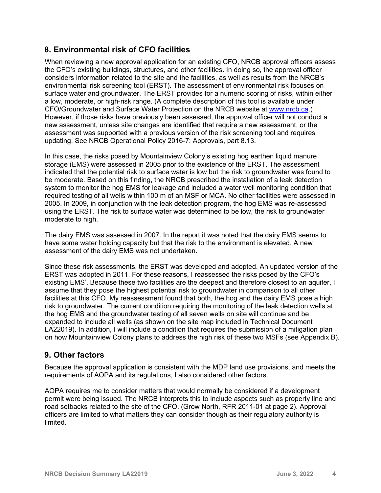## **8. Environmental risk of CFO facilities**

When reviewing a new approval application for an existing CFO, NRCB approval officers assess the CFO's existing buildings, structures, and other facilities. In doing so, the approval officer considers information related to the site and the facilities, as well as results from the NRCB's environmental risk screening tool (ERST). The assessment of environmental risk focuses on surface water and groundwater. The ERST provides for a numeric scoring of risks, within either a low, moderate, or high-risk range. (A complete description of this tool is available under CFO/Groundwater and Surface Water Protection on the NRCB website at [www.nrcb.ca.](http://www.nrcb.ca/)) However, if those risks have previously been assessed, the approval officer will not conduct a new assessment, unless site changes are identified that require a new assessment, or the assessment was supported with a previous version of the risk screening tool and requires updating. See NRCB Operational Policy 2016-7: Approvals, part 8.13.

In this case, the risks posed by Mountainview Colony's existing hog earthen liquid manure storage (EMS) were assessed in 2005 prior to the existence of the ERST. The assessment indicated that the potential risk to surface water is low but the risk to groundwater was found to be moderate. Based on this finding, the NRCB prescribed the installation of a leak detection system to monitor the hog EMS for leakage and included a water well monitoring condition that required testing of all wells within 100 m of an MSF or MCA. No other facilities were assessed in 2005. In 2009, in conjunction with the leak detection program, the hog EMS was re-assessed using the ERST. The risk to surface water was determined to be low, the risk to groundwater moderate to high.

The dairy EMS was assessed in 2007. In the report it was noted that the dairy EMS seems to have some water holding capacity but that the risk to the environment is elevated. A new assessment of the dairy EMS was not undertaken.

Since these risk assessments, the ERST was developed and adopted. An updated version of the ERST was adopted in 2011. For these reasons, I reassessed the risks posed by the CFO's existing EMS'. Because these two facilities are the deepest and therefore closest to an aquifer, I assume that they pose the highest potential risk to groundwater in comparison to all other facilities at this CFO. My reassessment found that both, the hog and the dairy EMS pose a high risk to groundwater. The current condition requiring the monitoring of the leak detection wells at the hog EMS and the groundwater testing of all seven wells on site will continue and be expanded to include all wells (as shown on the site map included in Technical Document LA22019). In addition, I will include a condition that requires the submission of a mitigation plan on how Mountainview Colony plans to address the high risk of these two MSFs (see Appendix B).

### **9. Other factors**

Because the approval application is consistent with the MDP land use provisions, and meets the requirements of AOPA and its regulations, I also considered other factors.

AOPA requires me to consider matters that would normally be considered if a development permit were being issued. The NRCB interprets this to include aspects such as property line and road setbacks related to the site of the CFO. (Grow North, RFR 2011-01 at page 2). Approval officers are limited to what matters they can consider though as their regulatory authority is limited.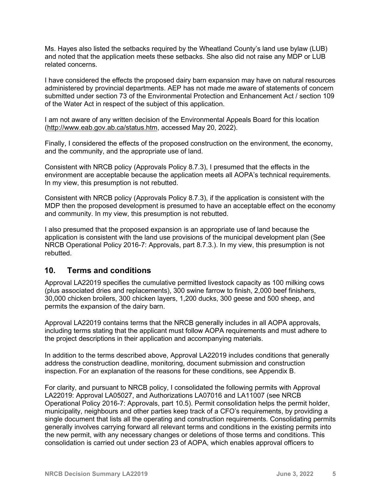Ms. Hayes also listed the setbacks required by the Wheatland County's land use bylaw (LUB) and noted that the application meets these setbacks. She also did not raise any MDP or LUB related concerns.

I have considered the effects the proposed dairy barn expansion may have on natural resources administered by provincial departments. AEP has not made me aware of statements of concern submitted under section 73 of the Environmental Protection and Enhancement Act / section 109 of the Water Act in respect of the subject of this application.

I am not aware of any written decision of the Environmental Appeals Board for this location [\(http://www.eab.gov.ab.ca/status.htm,](http://www.eab.gov.ab.ca/status.htm) accessed May 20, 2022).

Finally, I considered the effects of the proposed construction on the environment, the economy, and the community, and the appropriate use of land.

Consistent with NRCB policy (Approvals Policy 8.7.3), I presumed that the effects in the environment are acceptable because the application meets all AOPA's technical requirements. In my view, this presumption is not rebutted.

Consistent with NRCB policy (Approvals Policy 8.7.3), if the application is consistent with the MDP then the proposed development is presumed to have an acceptable effect on the economy and community. In my view, this presumption is not rebutted.

I also presumed that the proposed expansion is an appropriate use of land because the application is consistent with the land use provisions of the municipal development plan (See NRCB Operational Policy 2016-7: Approvals, part 8.7.3.). In my view, this presumption is not rebutted.

### **10. Terms and conditions**

Approval LA22019 specifies the cumulative permitted livestock capacity as 100 milking cows (plus associated dries and replacements), 300 swine farrow to finish, 2,000 beef finishers, 30,000 chicken broilers, 300 chicken layers, 1,200 ducks, 300 geese and 500 sheep, and permits the expansion of the dairy barn.

Approval LA22019 contains terms that the NRCB generally includes in all AOPA approvals, including terms stating that the applicant must follow AOPA requirements and must adhere to the project descriptions in their application and accompanying materials.

In addition to the terms described above, Approval LA22019 includes conditions that generally address the construction deadline, monitoring, document submission and construction inspection. For an explanation of the reasons for these conditions, see Appendix B.

For clarity, and pursuant to NRCB policy, I consolidated the following permits with Approval LA22019: Approval LA05027, and Authorizations LA07016 and LA11007 (see NRCB Operational Policy 2016-7: Approvals, part 10.5). Permit consolidation helps the permit holder, municipality, neighbours and other parties keep track of a CFO's requirements, by providing a single document that lists all the operating and construction requirements. Consolidating permits generally involves carrying forward all relevant terms and conditions in the existing permits into the new permit, with any necessary changes or deletions of those terms and conditions. This consolidation is carried out under section 23 of AOPA, which enables approval officers to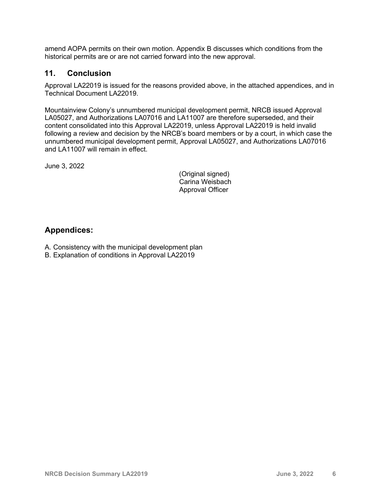amend AOPA permits on their own motion. Appendix B discusses which conditions from the historical permits are or are not carried forward into the new approval.

#### **11. Conclusion**

Approval LA22019 is issued for the reasons provided above, in the attached appendices, and in Technical Document LA22019.

Mountainview Colony's unnumbered municipal development permit, NRCB issued Approval LA05027, and Authorizations LA07016 and LA11007 are therefore superseded, and their content consolidated into this Approval LA22019, unless Approval LA22019 is held invalid following a review and decision by the NRCB's board members or by a court, in which case the unnumbered municipal development permit, Approval LA05027, and Authorizations LA07016 and LA11007 will remain in effect.

June 3, 2022

(Original signed) Carina Weisbach Approval Officer

### **Appendices:**

- A. Consistency with the municipal development plan
- B. Explanation of conditions in Approval LA22019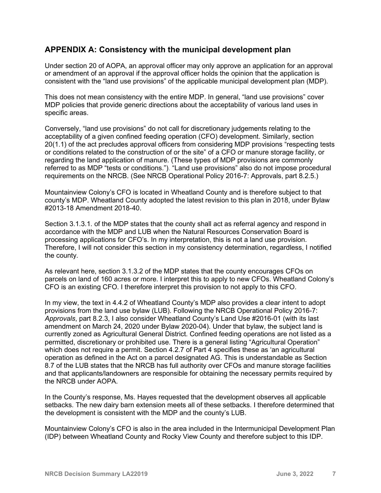### **APPENDIX A: Consistency with the municipal development plan**

Under section 20 of AOPA, an approval officer may only approve an application for an approval or amendment of an approval if the approval officer holds the opinion that the application is consistent with the "land use provisions" of the applicable municipal development plan (MDP).

This does not mean consistency with the entire MDP. In general, "land use provisions" cover MDP policies that provide generic directions about the acceptability of various land uses in specific areas.

Conversely, "land use provisions" do not call for discretionary judgements relating to the acceptability of a given confined feeding operation (CFO) development. Similarly, section 20(1.1) of the act precludes approval officers from considering MDP provisions "respecting tests or conditions related to the construction of or the site" of a CFO or manure storage facility, or regarding the land application of manure. (These types of MDP provisions are commonly referred to as MDP "tests or conditions."). "Land use provisions" also do not impose procedural requirements on the NRCB. (See NRCB Operational Policy 2016-7: Approvals, part 8.2.5.)

Mountainview Colony's CFO is located in Wheatland County and is therefore subject to that county's MDP. Wheatland County adopted the latest revision to this plan in 2018, under Bylaw #2013-18 Amendment 2018-40.

Section 3.1.3.1. of the MDP states that the county shall act as referral agency and respond in accordance with the MDP and LUB when the Natural Resources Conservation Board is processing applications for CFO's. In my interpretation, this is not a land use provision. Therefore, I will not consider this section in my consistency determination, regardless, I notified the county.

As relevant here, section 3.1.3.2 of the MDP states that the county encourages CFOs on parcels on land of 160 acres or more. I interpret this to apply to new CFOs. Wheatland Colony's CFO is an existing CFO. I therefore interpret this provision to not apply to this CFO.

In my view, the text in 4.4.2 of Wheatland County's MDP also provides a clear intent to adopt provisions from the land use bylaw (LUB). Following the NRCB Operational Policy 2016-7: *Approvals*, part 8.2.3, I also consider Wheatland County's Land Use #2016-01 (with its last amendment on March 24, 2020 under Bylaw 2020-04). Under that bylaw, the subject land is currently zoned as Agricultural General District. Confined feeding operations are not listed as a permitted, discretionary or prohibited use. There is a general listing "Agricultural Operation" which does not require a permit. Section 4.2.7 of Part 4 specifies these as 'an agricultural operation as defined in the Act on a parcel designated AG. This is understandable as Section 8.7 of the LUB states that the NRCB has full authority over CFOs and manure storage facilities and that applicants/landowners are responsible for obtaining the necessary permits required by the NRCB under AOPA.

In the County's response, Ms. Hayes requested that the development observes all applicable setbacks. The new dairy barn extension meets all of these setbacks. I therefore determined that the development is consistent with the MDP and the county's LUB.

Mountainview Colony's CFO is also in the area included in the Intermunicipal Development Plan (IDP) between Wheatland County and Rocky View County and therefore subject to this IDP.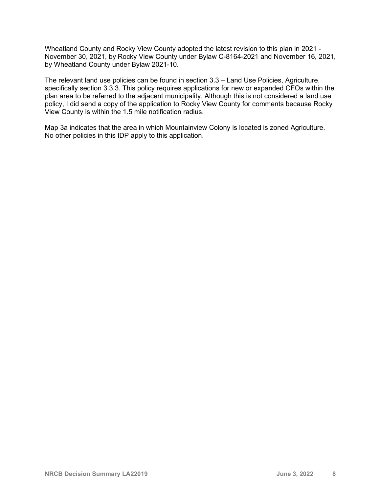Wheatland County and Rocky View County adopted the latest revision to this plan in 2021 - November 30, 2021, by Rocky View County under Bylaw C-8164-2021 and November 16, 2021, by Wheatland County under Bylaw 2021-10.

The relevant land use policies can be found in section 3.3 – Land Use Policies, Agriculture, specifically section 3.3.3. This policy requires applications for new or expanded CFOs within the plan area to be referred to the adjacent municipality. Although this is not considered a land use policy, I did send a copy of the application to Rocky View County for comments because Rocky View County is within the 1.5 mile notification radius.

Map 3a indicates that the area in which Mountainview Colony is located is zoned Agriculture. No other policies in this IDP apply to this application.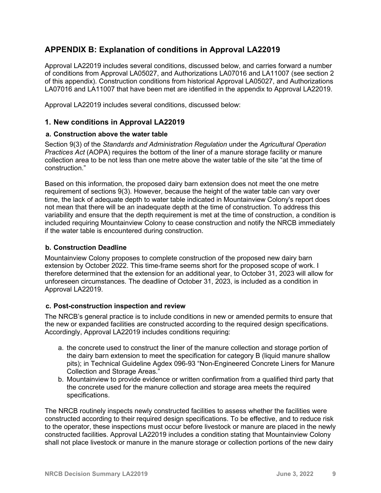## **APPENDIX B: Explanation of conditions in Approval LA22019**

Approval LA22019 includes several conditions, discussed below, and carries forward a number of conditions from Approval LA05027, and Authorizations LA07016 and LA11007 (see section 2 of this appendix). Construction conditions from historical Approval LA05027, and Authorizations LA07016 and LA11007 that have been met are identified in the appendix to Approval LA22019.

Approval LA22019 includes several conditions, discussed below:

#### **1. New conditions in Approval LA22019**

#### **a. Construction above the water table**

Section 9(3) of the *Standards and Administration Regulation* under the *Agricultural Operation Practices Act* (AOPA) requires the bottom of the liner of a manure storage facility or manure collection area to be not less than one metre above the water table of the site "at the time of construction."

Based on this information, the proposed dairy barn extension does not meet the one metre requirement of sections 9(3). However, because the height of the water table can vary over time, the lack of adequate depth to water table indicated in Mountainview Colony's report does not mean that there will be an inadequate depth at the time of construction. To address this variability and ensure that the depth requirement is met at the time of construction, a condition is included requiring Mountainview Colony to cease construction and notify the NRCB immediately if the water table is encountered during construction.

#### **b. Construction Deadline**

Mountainview Colony proposes to complete construction of the proposed new dairy barn extension by October 2022. This time-frame seems short for the proposed scope of work. I therefore determined that the extension for an additional year, to October 31, 2023 will allow for unforeseen circumstances. The deadline of October 31, 2023, is included as a condition in Approval LA22019.

#### **c. Post-construction inspection and review**

The NRCB's general practice is to include conditions in new or amended permits to ensure that the new or expanded facilities are constructed according to the required design specifications. Accordingly, Approval LA22019 includes conditions requiring:

- a. the concrete used to construct the liner of the manure collection and storage portion of the dairy barn extension to meet the specification for category B (liquid manure shallow pits); in Technical Guideline Agdex 096-93 "Non-Engineered Concrete Liners for Manure Collection and Storage Areas."
- b. Mountainview to provide evidence or written confirmation from a qualified third party that the concrete used for the manure collection and storage area meets the required specifications.

The NRCB routinely inspects newly constructed facilities to assess whether the facilities were constructed according to their required design specifications. To be effective, and to reduce risk to the operator, these inspections must occur before livestock or manure are placed in the newly constructed facilities. Approval LA22019 includes a condition stating that Mountainview Colony shall not place livestock or manure in the manure storage or collection portions of the new dairy